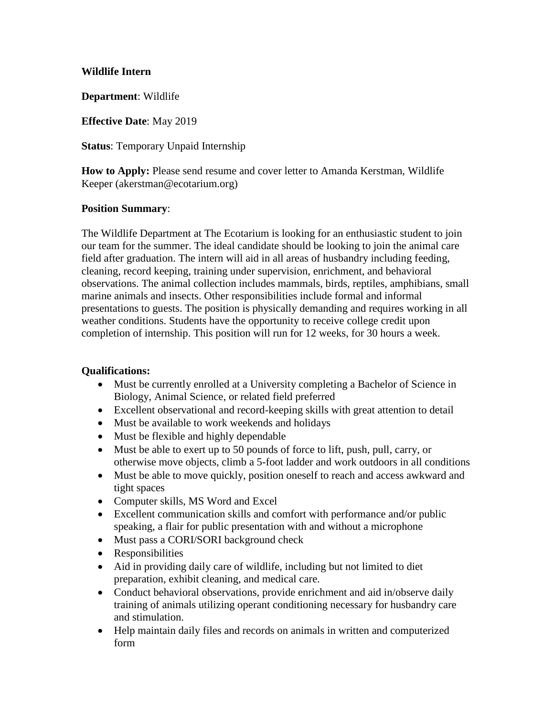#### **Wildlife Intern**

**Department**: Wildlife

**Effective Date**: May 2019

**Status**: Temporary Unpaid Internship

**How to Apply:** Please send resume and cover letter to Amanda Kerstman, Wildlife Keeper (akerstman@ecotarium.org)

#### **Position Summary**:

The Wildlife Department at The Ecotarium is looking for an enthusiastic student to join our team for the summer. The ideal candidate should be looking to join the animal care field after graduation. The intern will aid in all areas of husbandry including feeding, cleaning, record keeping, training under supervision, enrichment, and behavioral observations. The animal collection includes mammals, birds, reptiles, amphibians, small marine animals and insects. Other responsibilities include formal and informal presentations to guests. The position is physically demanding and requires working in all weather conditions. Students have the opportunity to receive college credit upon completion of internship. This position will run for 12 weeks, for 30 hours a week.

### **Qualifications:**

- Must be currently enrolled at a University completing a Bachelor of Science in Biology, Animal Science, or related field preferred
- Excellent observational and record-keeping skills with great attention to detail
- Must be available to work weekends and holidays
- Must be flexible and highly dependable
- Must be able to exert up to 50 pounds of force to lift, push, pull, carry, or otherwise move objects, climb a 5-foot ladder and work outdoors in all conditions
- Must be able to move quickly, position oneself to reach and access awkward and tight spaces
- Computer skills, MS Word and Excel
- Excellent communication skills and comfort with performance and/or public speaking, a flair for public presentation with and without a microphone
- Must pass a CORI/SORI background check
- Responsibilities
- Aid in providing daily care of wildlife, including but not limited to diet preparation, exhibit cleaning, and medical care.
- Conduct behavioral observations, provide enrichment and aid in/observe daily training of animals utilizing operant conditioning necessary for husbandry care and stimulation.
- Help maintain daily files and records on animals in written and computerized form